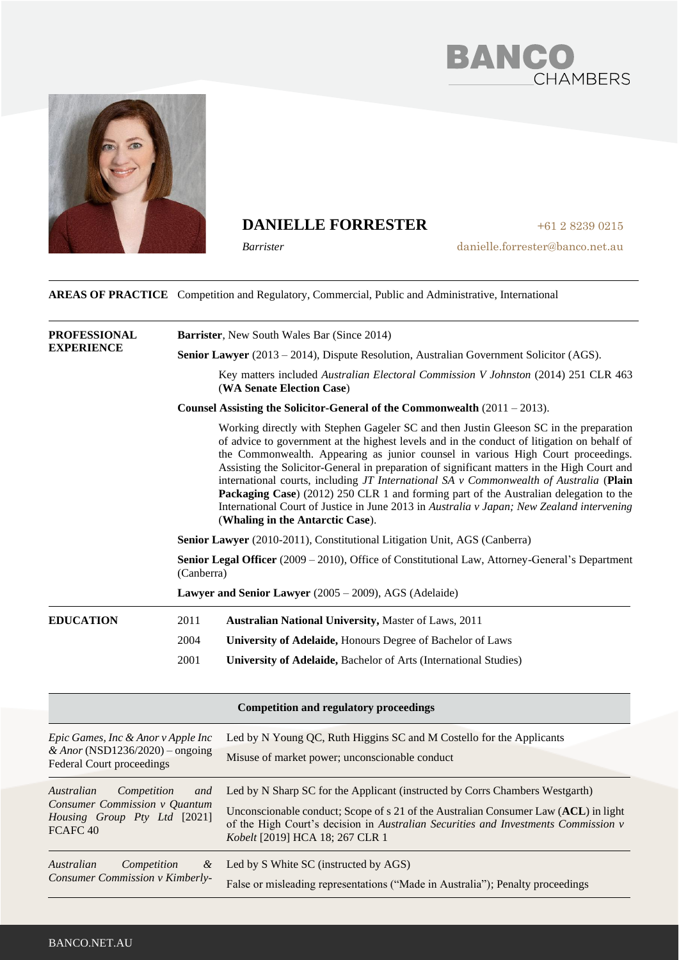



### **DANIELLE FORRESTER**

*Barrister*

danielle.forrester@banco.net.au

+61 2 8239 0215

**AREAS OF PRACTICE** Competition and Regulatory, Commercial, Public and Administrative, International

| <b>PROFESSIONAL</b><br><b>EXPERIENCE</b>                                 | <b>Barrister, New South Wales Bar (Since 2014)</b>                                                                                                                                                                                                                                                                                                                                                                                                                                                                                                                                                                                                                                                                                                                                                                                                                                             |  |                                                        |
|--------------------------------------------------------------------------|------------------------------------------------------------------------------------------------------------------------------------------------------------------------------------------------------------------------------------------------------------------------------------------------------------------------------------------------------------------------------------------------------------------------------------------------------------------------------------------------------------------------------------------------------------------------------------------------------------------------------------------------------------------------------------------------------------------------------------------------------------------------------------------------------------------------------------------------------------------------------------------------|--|--------------------------------------------------------|
|                                                                          | <b>Senior Lawyer</b> (2013 – 2014), Dispute Resolution, Australian Government Solicitor (AGS).                                                                                                                                                                                                                                                                                                                                                                                                                                                                                                                                                                                                                                                                                                                                                                                                 |  |                                                        |
|                                                                          | Key matters included Australian Electoral Commission V Johnston (2014) 251 CLR 463<br>(WA Senate Election Case)                                                                                                                                                                                                                                                                                                                                                                                                                                                                                                                                                                                                                                                                                                                                                                                |  |                                                        |
|                                                                          | Counsel Assisting the Solicitor-General of the Commonwealth $(2011 - 2013)$ .                                                                                                                                                                                                                                                                                                                                                                                                                                                                                                                                                                                                                                                                                                                                                                                                                  |  |                                                        |
|                                                                          | Working directly with Stephen Gageler SC and then Justin Gleeson SC in the preparation<br>of advice to government at the highest levels and in the conduct of litigation on behalf of<br>the Commonwealth. Appearing as junior counsel in various High Court proceedings.<br>Assisting the Solicitor-General in preparation of significant matters in the High Court and<br>international courts, including $JT$ International SA $v$ Commonwealth of Australia (Plain<br>Packaging Case) (2012) 250 CLR 1 and forming part of the Australian delegation to the<br>International Court of Justice in June 2013 in Australia v Japan; New Zealand intervening<br>(Whaling in the Antarctic Case).<br>Senior Lawyer (2010-2011), Constitutional Litigation Unit, AGS (Canberra)<br>Senior Legal Officer (2009 – 2010), Office of Constitutional Law, Attorney-General's Department<br>(Canberra) |  |                                                        |
|                                                                          |                                                                                                                                                                                                                                                                                                                                                                                                                                                                                                                                                                                                                                                                                                                                                                                                                                                                                                |  | Lawyer and Senior Lawyer (2005 – 2009), AGS (Adelaide) |
|                                                                          |                                                                                                                                                                                                                                                                                                                                                                                                                                                                                                                                                                                                                                                                                                                                                                                                                                                                                                |  | <b>EDUCATION</b>                                       |
|                                                                          | 2004<br><b>University of Adelaide, Honours Degree of Bachelor of Laws</b>                                                                                                                                                                                                                                                                                                                                                                                                                                                                                                                                                                                                                                                                                                                                                                                                                      |  |                                                        |
| 2001<br>University of Adelaide, Bachelor of Arts (International Studies) |                                                                                                                                                                                                                                                                                                                                                                                                                                                                                                                                                                                                                                                                                                                                                                                                                                                                                                |  |                                                        |
|                                                                          | <b>Competition and regulatory proceedings</b>                                                                                                                                                                                                                                                                                                                                                                                                                                                                                                                                                                                                                                                                                                                                                                                                                                                  |  |                                                        |

| Epic Games, Inc & Anor v Apple Inc<br>& Anor (NSD1236/2020) – ongoing<br><b>Federal Court proceedings</b>                | Led by N Young QC, Ruth Higgins SC and M Costello for the Applicants<br>Misuse of market power; unconscionable conduct                                                                                                                                                                       |  |
|--------------------------------------------------------------------------------------------------------------------------|----------------------------------------------------------------------------------------------------------------------------------------------------------------------------------------------------------------------------------------------------------------------------------------------|--|
| Australian<br>Competition<br>and<br>Consumer Commission v Quantum<br>Housing Group Pty Ltd [2021]<br>FCAFC <sub>40</sub> | Led by N Sharp SC for the Applicant (instructed by Corrs Chambers Westgarth)<br>Unconscionable conduct; Scope of s 21 of the Australian Consumer Law (ACL) in light<br>of the High Court's decision in Australian Securities and Investments Commission v<br>Kobelt [2019] HCA 18; 267 CLR 1 |  |
| Australian<br>Competition<br>&<br>Consumer Commission v Kimberly-                                                        | Led by S White SC (instructed by AGS)<br>False or misleading representations ("Made in Australia"); Penalty proceedings                                                                                                                                                                      |  |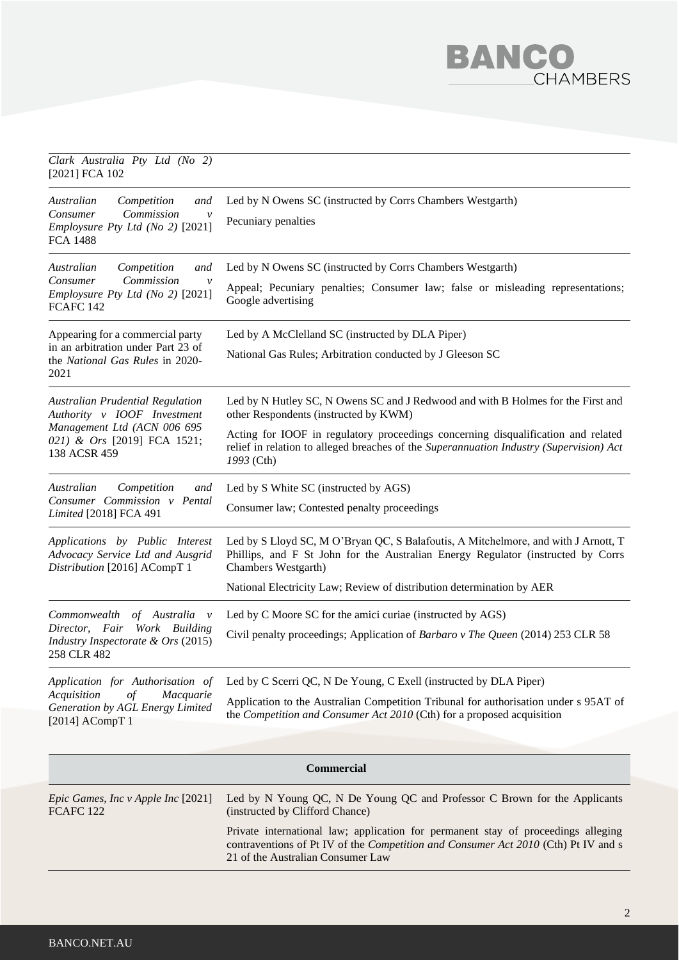## BANC **HAMBERS**

#### *Clark Australia Pty Ltd (No 2)*  [2021] FCA 102 *Australian Competition and Consumer Commission v Employsure Pty Ltd (No 2)* [2021] FCA 1488 Led by N Owens SC (instructed by Corrs Chambers Westgarth) Pecuniary penalties *Australian Competition and Consumer Commission Employsure Pty Ltd (No 2)* [2021] FCAFC 142 Led by N Owens SC (instructed by Corrs Chambers Westgarth) Appeal; Pecuniary penalties; Consumer law; false or misleading representations; Google advertising Appearing for a commercial party in an arbitration under Part 23 of the *National Gas Rules* in 2020- 2021 Led by A McClelland SC (instructed by DLA Piper) National Gas Rules; Arbitration conducted by J Gleeson SC *Australian Prudential Regulation Authority v IOOF Investment Management Ltd (ACN 006 695 021) & Ors* [2019] FCA 1521; 138 ACSR 459 Led by N Hutley SC, N Owens SC and J Redwood and with B Holmes for the First and other Respondents (instructed by KWM) Acting for IOOF in regulatory proceedings concerning disqualification and related relief in relation to alleged breaches of the *Superannuation Industry (Supervision) Act 1993* (Cth) *Australian Competition and Consumer Commission v Pental Limited* [2018] FCA 491 Led by S White SC (instructed by AGS) Consumer law; Contested penalty proceedings *Applications by Public Interest Advocacy Service Ltd and Ausgrid Distribution* [2016] ACompT 1 Led by S Lloyd SC, M O'Bryan QC, S Balafoutis, A Mitchelmore, and with J Arnott, T Phillips, and F St John for the Australian Energy Regulator (instructed by Corrs Chambers Westgarth) National Electricity Law; Review of distribution determination by AER *Commonwealth of Australia v Director, Fair Work Building Industry Inspectorate & Ors* (2015) 258 CLR 482 Led by C Moore SC for the amici curiae (instructed by AGS) Civil penalty proceedings; Application of *Barbaro v The Queen* (2014) 253 CLR 58 *Application for Authorisation of Acquisition of Macquarie Generation by AGL Energy Limited*  [2014] ACompT 1 Led by C Scerri QC, N De Young, C Exell (instructed by DLA Piper) Application to the Australian Competition Tribunal for authorisation under s 95AT of the *Competition and Consumer Act 2010* (Cth) for a proposed acquisition

| <b>Commercial</b>                                                 |                                                                                                                                                                                                              |  |
|-------------------------------------------------------------------|--------------------------------------------------------------------------------------------------------------------------------------------------------------------------------------------------------------|--|
| <i>Epic Games, Inc v Apple Inc</i> [2021]<br>FCAFC <sub>122</sub> | Led by N Young QC, N De Young QC and Professor C Brown for the Applicants<br>(instructed by Clifford Chance)                                                                                                 |  |
|                                                                   | Private international law; application for permanent stay of proceedings alleging<br>contraventions of Pt IV of the Competition and Consumer Act 2010 (Cth) Pt IV and s<br>21 of the Australian Consumer Law |  |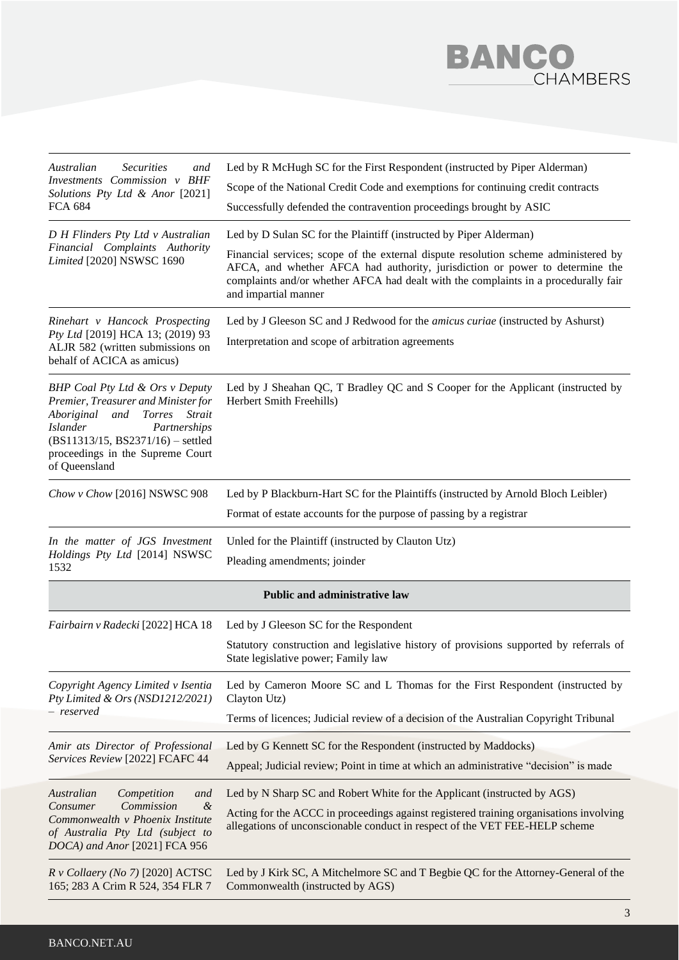

| Australian<br><b>Securities</b><br>and<br>Investments Commission v BHF<br>Solutions Pty Ltd & Anor [2021]<br><b>FCA 684</b>                                                                                                                           | Led by R McHugh SC for the First Respondent (instructed by Piper Alderman)<br>Scope of the National Credit Code and exemptions for continuing credit contracts<br>Successfully defended the contravention proceedings brought by ASIC                                                                                                                    |
|-------------------------------------------------------------------------------------------------------------------------------------------------------------------------------------------------------------------------------------------------------|----------------------------------------------------------------------------------------------------------------------------------------------------------------------------------------------------------------------------------------------------------------------------------------------------------------------------------------------------------|
| D H Flinders Pty Ltd v Australian<br>Financial Complaints Authority<br>Limited [2020] NSWSC 1690                                                                                                                                                      | Led by D Sulan SC for the Plaintiff (instructed by Piper Alderman)<br>Financial services; scope of the external dispute resolution scheme administered by<br>AFCA, and whether AFCA had authority, jurisdiction or power to determine the<br>complaints and/or whether AFCA had dealt with the complaints in a procedurally fair<br>and impartial manner |
| Rinehart v Hancock Prospecting<br>Pty Ltd [2019] HCA 13; (2019) 93<br>ALJR 582 (written submissions on<br>behalf of ACICA as amicus)                                                                                                                  | Led by J Gleeson SC and J Redwood for the <i>amicus curiae</i> (instructed by Ashurst)<br>Interpretation and scope of arbitration agreements                                                                                                                                                                                                             |
| BHP Coal Pty Ltd & Ors v Deputy<br>Premier, Treasurer and Minister for<br>Aboriginal<br>and<br><b>Torres</b><br>Strait<br>Partnerships<br><b>Islander</b><br>$(BS11313/15, BS2371/16)$ – settled<br>proceedings in the Supreme Court<br>of Queensland | Led by J Sheahan QC, T Bradley QC and S Cooper for the Applicant (instructed by<br>Herbert Smith Freehills)                                                                                                                                                                                                                                              |
| Chow v Chow [2016] NSWSC 908                                                                                                                                                                                                                          | Led by P Blackburn-Hart SC for the Plaintiffs (instructed by Arnold Bloch Leibler)                                                                                                                                                                                                                                                                       |
|                                                                                                                                                                                                                                                       | Format of estate accounts for the purpose of passing by a registrar                                                                                                                                                                                                                                                                                      |
| In the matter of JGS Investment<br>Holdings Pty Ltd [2014] NSWSC<br>1532                                                                                                                                                                              | Unled for the Plaintiff (instructed by Clauton Utz)<br>Pleading amendments; joinder                                                                                                                                                                                                                                                                      |
|                                                                                                                                                                                                                                                       | <b>Public and administrative law</b>                                                                                                                                                                                                                                                                                                                     |
| Fairbairn v Radecki [2022] HCA 18                                                                                                                                                                                                                     | Led by J Gleeson SC for the Respondent<br>Statutory construction and legislative history of provisions supported by referrals of<br>State legislative power; Family law                                                                                                                                                                                  |
| Copyright Agency Limited v Isentia<br>Pty Limited & Ors (NSD1212/2021)<br>– reserved                                                                                                                                                                  | Led by Cameron Moore SC and L Thomas for the First Respondent (instructed by<br>Clayton Utz)<br>Terms of licences; Judicial review of a decision of the Australian Copyright Tribunal                                                                                                                                                                    |
| Amir ats Director of Professional<br>Services Review [2022] FCAFC 44                                                                                                                                                                                  | Led by G Kennett SC for the Respondent (instructed by Maddocks)<br>Appeal; Judicial review; Point in time at which an administrative "decision" is made                                                                                                                                                                                                  |
| Competition<br>Australian<br>and<br>Commission<br>$\mathcal{\&}$<br>Consumer<br>Commonwealth v Phoenix Institute<br>of Australia Pty Ltd (subject to<br>DOCA) and Anor [2021] FCA 956                                                                 | Led by N Sharp SC and Robert White for the Applicant (instructed by AGS)<br>Acting for the ACCC in proceedings against registered training organisations involving<br>allegations of unconscionable conduct in respect of the VET FEE-HELP scheme                                                                                                        |
| $R$ v Collaery (No 7) [2020] ACTSC<br>165; 283 A Crim R 524, 354 FLR 7                                                                                                                                                                                | Led by J Kirk SC, A Mitchelmore SC and T Begbie QC for the Attorney-General of the<br>Commonwealth (instructed by AGS)                                                                                                                                                                                                                                   |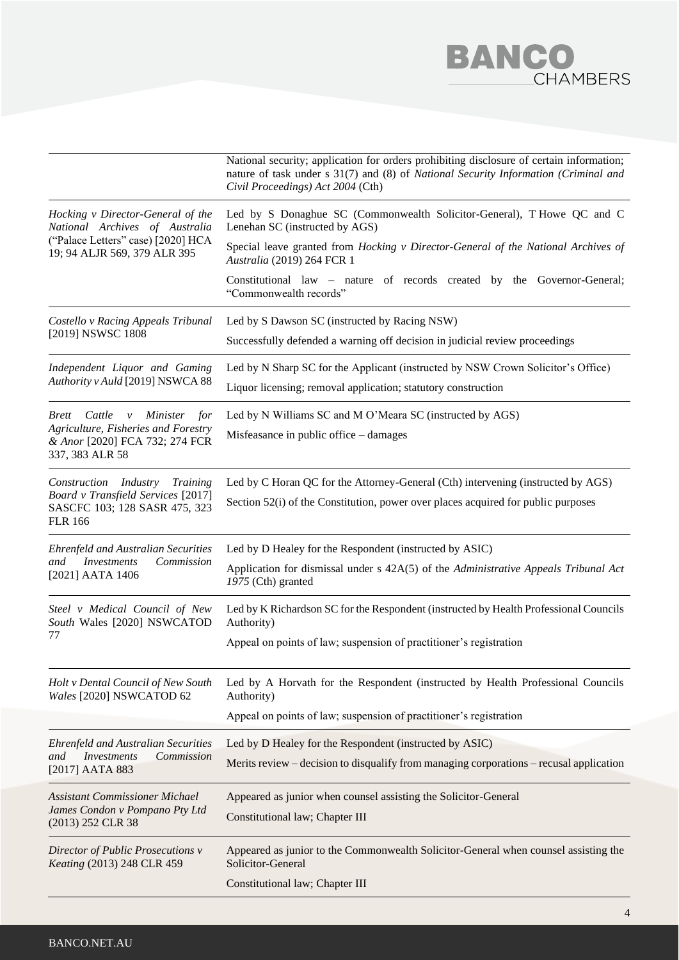

|                                                                                                                                           | National security; application for orders prohibiting disclosure of certain information;<br>nature of task under s 31(7) and (8) of National Security Information (Criminal and<br>Civil Proceedings) Act 2004 (Cth) |
|-------------------------------------------------------------------------------------------------------------------------------------------|----------------------------------------------------------------------------------------------------------------------------------------------------------------------------------------------------------------------|
| Hocking v Director-General of the<br>National Archives of Australia<br>("Palace Letters" case) [2020] HCA<br>19; 94 ALJR 569, 379 ALR 395 | Led by S Donaghue SC (Commonwealth Solicitor-General), T Howe QC and C<br>Lenehan SC (instructed by AGS)                                                                                                             |
|                                                                                                                                           | Special leave granted from Hocking v Director-General of the National Archives of<br>Australia (2019) 264 FCR 1                                                                                                      |
|                                                                                                                                           | Constitutional law – nature of records created by the Governor-General;<br>"Commonwealth records"                                                                                                                    |
| Costello v Racing Appeals Tribunal<br>[2019] NSWSC 1808                                                                                   | Led by S Dawson SC (instructed by Racing NSW)                                                                                                                                                                        |
|                                                                                                                                           | Successfully defended a warning off decision in judicial review proceedings                                                                                                                                          |
| Independent Liquor and Gaming<br>Authority v Auld [2019] NSWCA 88                                                                         | Led by N Sharp SC for the Applicant (instructed by NSW Crown Solicitor's Office)<br>Liquor licensing; removal application; statutory construction                                                                    |
| Cattle<br><i>Minister</i><br>for<br><i>Brett</i><br>$\mathcal{V}$                                                                         | Led by N Williams SC and M O'Meara SC (instructed by AGS)                                                                                                                                                            |
| Agriculture, Fisheries and Forestry<br>& Anor [2020] FCA 732; 274 FCR<br>337, 383 ALR 58                                                  | Misfeasance in public office - damages                                                                                                                                                                               |
| Construction Industry<br><b>Training</b><br>Board v Transfield Services [2017]<br>SASCFC 103; 128 SASR 475, 323<br><b>FLR 166</b>         | Led by C Horan QC for the Attorney-General (Cth) intervening (instructed by AGS)<br>Section 52(i) of the Constitution, power over places acquired for public purposes                                                |
| <b>Ehrenfeld and Australian Securities</b>                                                                                                | Led by D Healey for the Respondent (instructed by ASIC)                                                                                                                                                              |
| <i>Investments</i><br>and<br>Commission<br>[2021] AATA 1406                                                                               | Application for dismissal under s 42A(5) of the Administrative Appeals Tribunal Act<br>1975 (Cth) granted                                                                                                            |
| Steel v Medical Council of New<br>South Wales [2020] NSWCATOD                                                                             | Led by K Richardson SC for the Respondent (instructed by Health Professional Councils<br>Authority)                                                                                                                  |
| 77                                                                                                                                        | Appeal on points of law; suspension of practitioner's registration                                                                                                                                                   |
| Holt v Dental Council of New South<br>Wales [2020] NSWCATOD 62                                                                            | Led by A Horvath for the Respondent (instructed by Health Professional Councils<br>Authority)                                                                                                                        |
|                                                                                                                                           | Appeal on points of law; suspension of practitioner's registration                                                                                                                                                   |
| <b>Ehrenfeld and Australian Securities</b>                                                                                                | Led by D Healey for the Respondent (instructed by ASIC)                                                                                                                                                              |
| <i>Investments</i><br>Commission<br>and<br>[2017] AATA 883                                                                                | Merits review – decision to disqualify from managing corporations – recusal application                                                                                                                              |
| <b>Assistant Commissioner Michael</b><br>James Condon v Pompano Pty Ltd<br>(2013) 252 CLR 38                                              | Appeared as junior when counsel assisting the Solicitor-General                                                                                                                                                      |
|                                                                                                                                           | Constitutional law; Chapter III                                                                                                                                                                                      |
| Director of Public Prosecutions v<br>Keating (2013) 248 CLR 459                                                                           | Appeared as junior to the Commonwealth Solicitor-General when counsel assisting the<br>Solicitor-General                                                                                                             |
|                                                                                                                                           | Constitutional law; Chapter III                                                                                                                                                                                      |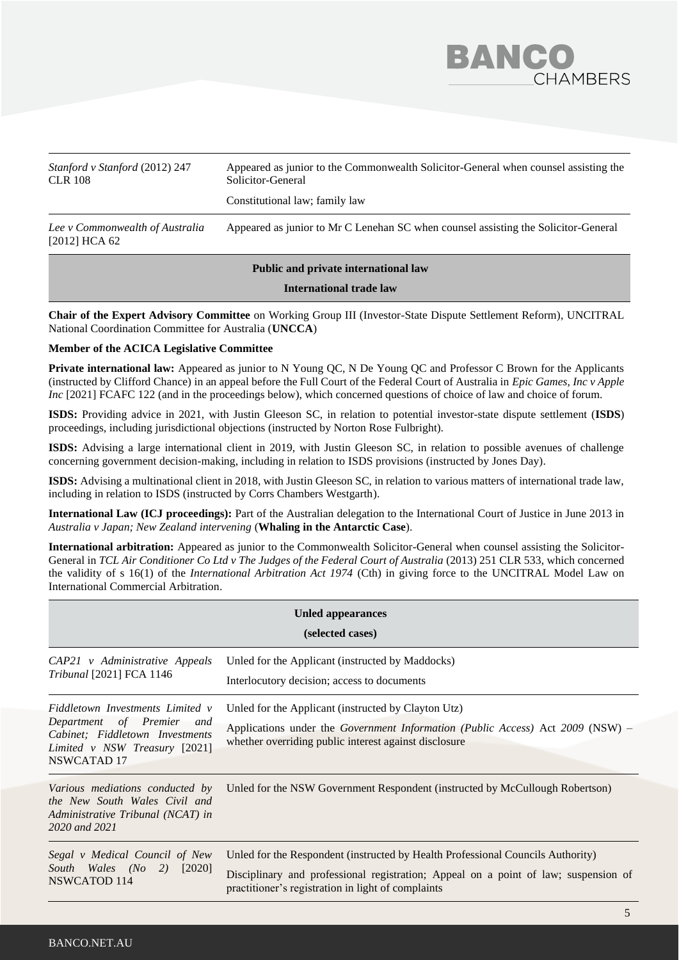

| Stanford v Stanford (2012) 247<br><b>CLR 108</b>   | Appeared as junior to the Commonwealth Solicitor-General when counsel assisting the<br>Solicitor-General<br>Constitutional law; family law |
|----------------------------------------------------|--------------------------------------------------------------------------------------------------------------------------------------------|
| Lee v Commonwealth of Australia<br>$[2012]$ HCA 62 | Appeared as junior to Mr C Lenehan SC when counsel assisting the Solicitor-General                                                         |

#### **Public and private international law**

**International trade law**

**Chair of the Expert Advisory Committee** on Working Group III (Investor-State Dispute Settlement Reform), UNCITRAL National Coordination Committee for Australia (**UNCCA**)

#### **Member of the ACICA Legislative Committee**

**Private international law:** Appeared as junior to N Young QC, N De Young QC and Professor C Brown for the Applicants (instructed by Clifford Chance) in an appeal before the Full Court of the Federal Court of Australia in *Epic Games, Inc v Apple Inc* [2021] FCAFC 122 (and in the proceedings below), which concerned questions of choice of law and choice of forum.

**ISDS:** Providing advice in 2021, with Justin Gleeson SC, in relation to potential investor-state dispute settlement (**ISDS**) proceedings, including jurisdictional objections (instructed by Norton Rose Fulbright).

**ISDS:** Advising a large international client in 2019, with Justin Gleeson SC, in relation to possible avenues of challenge concerning government decision-making, including in relation to ISDS provisions (instructed by Jones Day).

**ISDS:** Advising a multinational client in 2018, with Justin Gleeson SC, in relation to various matters of international trade law, including in relation to ISDS (instructed by Corrs Chambers Westgarth).

**International Law (ICJ proceedings):** Part of the Australian delegation to the International Court of Justice in June 2013 in *Australia v Japan; New Zealand intervening* (**Whaling in the Antarctic Case**).

**International arbitration:** Appeared as junior to the Commonwealth Solicitor-General when counsel assisting the Solicitor-General in *TCL Air Conditioner Co Ltd v The Judges of the Federal Court of Australia* (2013) 251 CLR 533, which concerned the validity of s 16(1) of the *International Arbitration Act 1974* (Cth) in giving force to the UNCITRAL Model Law on International Commercial Arbitration.

| Unled appearances<br>(selected cases)                                                                                                                   |                                                                                                                                                                                                                              |  |  |
|---------------------------------------------------------------------------------------------------------------------------------------------------------|------------------------------------------------------------------------------------------------------------------------------------------------------------------------------------------------------------------------------|--|--|
| CAP21 v Administrative Appeals<br>Tribunal [2021] FCA 1146                                                                                              | Unled for the Applicant (instructed by Maddocks)<br>Interlocutory decision; access to documents                                                                                                                              |  |  |
| Fiddletown Investments Limited v<br>Department of Premier and<br>Cabinet; Fiddletown Investments<br>Limited v NSW Treasury [2021]<br><b>NSWCATAD 17</b> | Unled for the Applicant (instructed by Clayton Utz)<br>Applications under the <i>Government Information (Public Access)</i> Act 2009 (NSW) –<br>whether overriding public interest against disclosure                        |  |  |
| Various mediations conducted by<br>the New South Wales Civil and<br>Administrative Tribunal (NCAT) in<br>2020 and 2021                                  | Unled for the NSW Government Respondent (instructed by McCullough Robertson)                                                                                                                                                 |  |  |
| Segal v Medical Council of New<br>[2020]<br>South Wales (No 2)<br>NSWCATOD 114                                                                          | Unled for the Respondent (instructed by Health Professional Councils Authority)<br>Disciplinary and professional registration; Appeal on a point of law; suspension of<br>practitioner's registration in light of complaints |  |  |